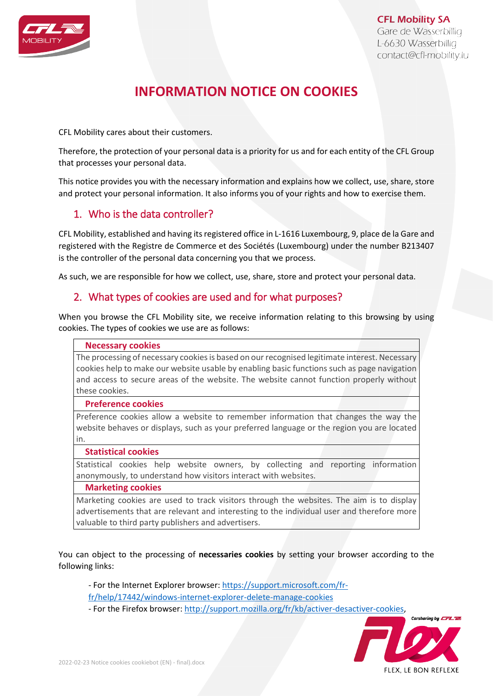

**CFL Mobility SA** Gare de Wasserbillig L-6630 Wasserbillig contact@cfl-mobility.lu

# **INFORMATION NOTICE ON COOKIES**

CFL Mobility cares about their customers.

Therefore, the protection of your personal data is a priority for us and for each entity of the CFL Group that processes your personal data.

This notice provides you with the necessary information and explains how we collect, use, share, store and protect your personal information. It also informs you of your rights and how to exercise them.

# 1. Who is the data controller?

CFL Mobility, established and having its registered office in L-1616 Luxembourg, 9, place de la Gare and registered with the Registre de Commerce et des Sociétés (Luxembourg) under the number B213407 is the controller of the personal data concerning you that we process.

As such, we are responsible for how we collect, use, share, store and protect your personal data.

### 2. What types of cookies are used and for what purposes?

When you browse the CFL Mobility site, we receive information relating to this browsing by using cookies. The types of cookies we use are as follows:

#### **Necessary cookies**

The processing of necessary cookies is based on our recognised legitimate interest. Necessary cookies help to make our website usable by enabling basic functions such as page navigation and access to secure areas of the website. The website cannot function properly without these cookies.

#### **Preference cookies**

Preference cookies allow a website to remember information that changes the way the website behaves or displays, such as your preferred language or the region you are located in.

#### **Statistical cookies**

Statistical cookies help website owners, by collecting and reporting information anonymously, to understand how visitors interact with websites.

#### **Marketing cookies**

Marketing cookies are used to track visitors through the websites. The aim is to display advertisements that are relevant and interesting to the individual user and therefore more valuable to third party publishers and advertisers.

You can object to the processing of **necessaries cookies** by setting your browser according to the following links:

- For the Internet Explorer browser: [https://support.microsoft.com/fr](https://support.microsoft.com/fr-fr/help/17442/windows-internet-explorer-delete-manage-cookies)[fr/help/17442/windows-internet-explorer-delete-manage-cookies](https://support.microsoft.com/fr-fr/help/17442/windows-internet-explorer-delete-manage-cookies)

- For the Firefox browser: [http://support.mozilla.org/fr/kb/activer-desactiver-cookies,](http://support.mozilla.org/fr/kb/activer-desactiver-cookies)

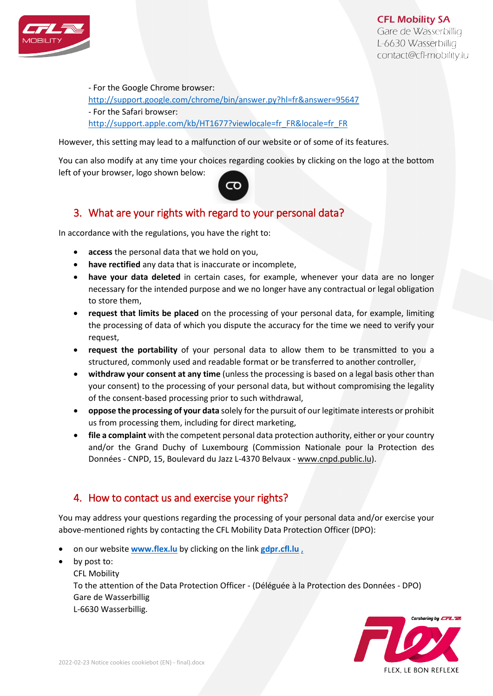

**CFL Mobility SA** 

Gare de Wasserbillig L-6630 Wasserbillig contact@cfl-mobility.lu

- For the Google Chrome browser: <http://support.google.com/chrome/bin/answer.py?hl=fr&answer=95647> - For the Safari browser: [http://support.apple.com/kb/HT1677?viewlocale=fr\\_FR&locale=fr\\_FR](http://support.apple.com/kb/HT1677?viewlocale=fr_FR&locale=fr_FR)

However, this setting may lead to a malfunction of our website or of some of its features.

You can also modify at any time your choices regarding cookies by clicking on the logo at the bottom left of your browser, logo shown below:



# 3. What are your rights with regard to your personal data?

In accordance with the regulations, you have the right to:

- **access** the personal data that we hold on you,
- **have rectified** any data that is inaccurate or incomplete,
- **have your data deleted** in certain cases, for example, whenever your data are no longer necessary for the intended purpose and we no longer have any contractual or legal obligation to store them,
- **request that limits be placed** on the processing of your personal data, for example, limiting the processing of data of which you dispute the accuracy for the time we need to verify your request,
- **request the portability** of your personal data to allow them to be transmitted to you a structured, commonly used and readable format or be transferred to another controller,
- **withdraw your consent at any time** (unless the processing is based on a legal basis other than your consent) to the processing of your personal data, but without compromising the legality of the consent-based processing prior to such withdrawal,
- **oppose the processing of your data** solely for the pursuit of our legitimate interests or prohibit us from processing them, including for direct marketing,
- **file a complaint** with the competent personal data protection authority, either or your country and/or the Grand Duchy of Luxembourg (Commission Nationale pour la Protection des Données - CNPD, 15, Boulevard du Jazz L-4370 Belvaux - [www.cnpd.public.lu\)](http://www.cnpd.public.lu/).

# 4. How to contact us and exercise your rights?

You may address your questions regarding the processing of your personal data and/or exercise your above-mentioned rights by contacting the CFL Mobility Data Protection Officer (DPO):

- on our website **[www.flex.lu](http://www.flex.lu/)** by clicking on the link **gdpr.cfl.lu** ,
- by post to:
	- CFL Mobility

To the attention of the Data Protection Officer - (Déléguée à la Protection des Données - DPO) Gare de Wasserbillig L-6630 Wasserbillig.